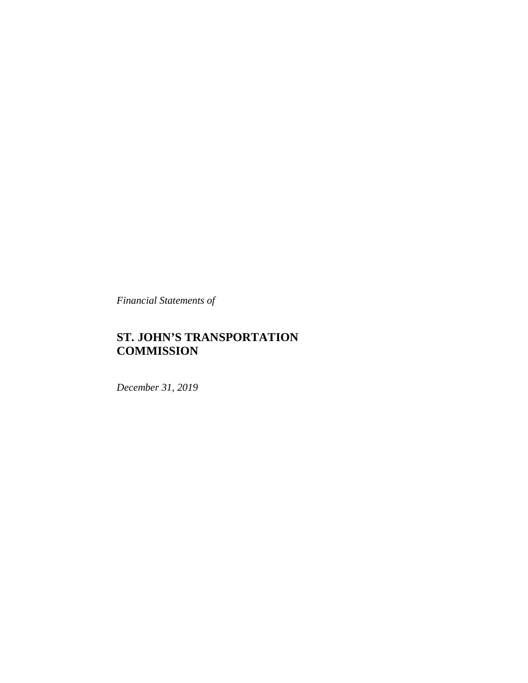*Financial Statements of*

# **ST. JOHN'S TRANSPORTATION COMMISSION**

*December 31, 2019*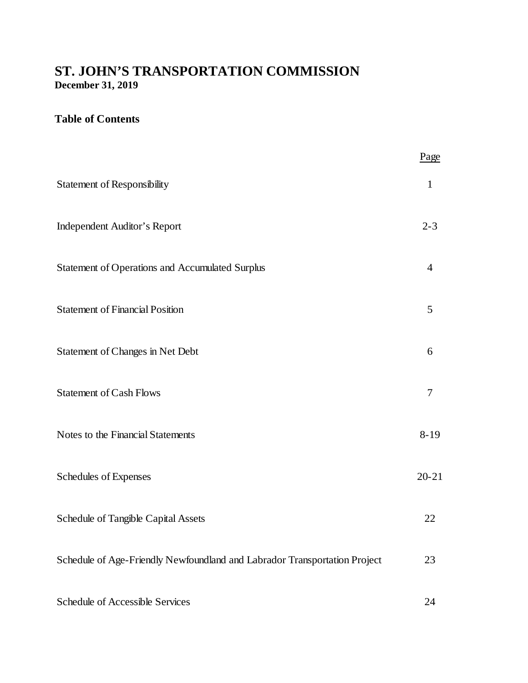# **ST. JOHN'S TRANSPORTATION COMMISSION December 31, 2019**

# **Table of Contents**

|                                                                           | Page           |
|---------------------------------------------------------------------------|----------------|
| <b>Statement of Responsibility</b>                                        | $\mathbf{1}$   |
| <b>Independent Auditor's Report</b>                                       | $2 - 3$        |
| <b>Statement of Operations and Accumulated Surplus</b>                    | $\overline{4}$ |
| <b>Statement of Financial Position</b>                                    | 5              |
| Statement of Changes in Net Debt                                          | 6              |
| <b>Statement of Cash Flows</b>                                            | $\overline{7}$ |
| Notes to the Financial Statements                                         | $8 - 19$       |
| Schedules of Expenses                                                     | $20 - 21$      |
| Schedule of Tangible Capital Assets                                       | 22             |
| Schedule of Age-Friendly Newfoundland and Labrador Transportation Project | 23             |
| Schedule of Accessible Services                                           | 24             |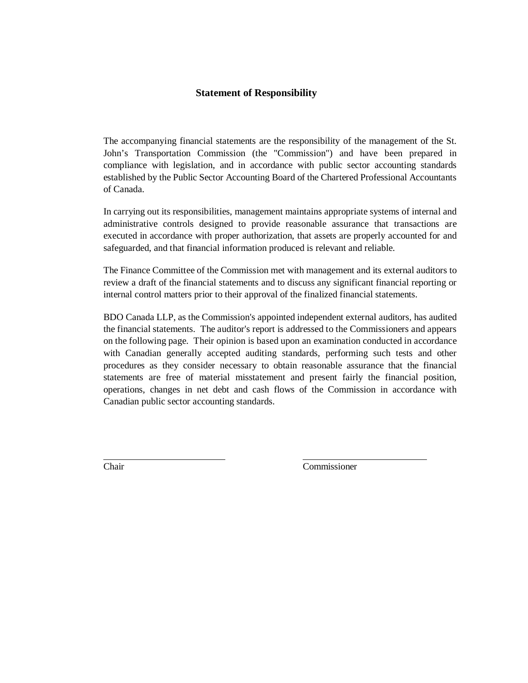#### **Statement of Responsibility**

The accompanying financial statements are the responsibility of the management of the St. John's Transportation Commission (the "Commission") and have been prepared in compliance with legislation, and in accordance with public sector accounting standards established by the Public Sector Accounting Board of the Chartered Professional Accountants of Canada.

In carrying out its responsibilities, management maintains appropriate systems of internal and administrative controls designed to provide reasonable assurance that transactions are executed in accordance with proper authorization, that assets are properly accounted for and safeguarded, and that financial information produced is relevant and reliable.

The Finance Committee of the Commission met with management and its external auditors to review a draft of the financial statements and to discuss any significant financial reporting or internal control matters prior to their approval of the finalized financial statements.

BDO Canada LLP, as the Commission's appointed independent external auditors, has audited the financial statements. The auditor's report is addressed to the Commissioners and appears on the following page. Their opinion is based upon an examination conducted in accordance with Canadian generally accepted auditing standards, performing such tests and other procedures as they consider necessary to obtain reasonable assurance that the financial statements are free of material misstatement and present fairly the financial position, operations, changes in net debt and cash flows of the Commission in accordance with Canadian public sector accounting standards.

Chair Commissioner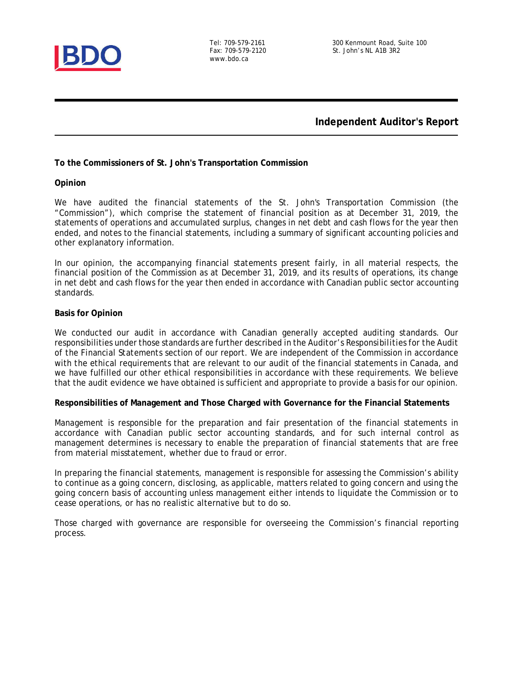

www.bdo.ca

#### **Independent Auditor's Report**

**To the Commissioners of St. John's Transportation Commission**

**Opinion**

We have audited the financial statements of the St. John's Transportation Commission (the "Commission"), which comprise the statement of financial position as at December 31, 2019, the statements of operations and accumulated surplus, changes in net debt and cash flows for the year then ended, and notes to the financial statements, including a summary of significant accounting policies and other explanatory information.

In our opinion, the accompanying financial statements present fairly, in all material respects, the financial position of the Commission as at December 31, 2019, and its results of operations, its change in net debt and cash flows for the year then ended in accordance with Canadian public sector accounting standards.

#### **Basis for Opinion**

We conducted our audit in accordance with Canadian generally accepted auditing standards. Our responsibilities under those standards are further described in the *Auditor's Responsibilities for the Audit of the Financial Statements* section of our report. We are independent of the Commission in accordance with the ethical requirements that are relevant to our audit of the financial statements in Canada, and we have fulfilled our other ethical responsibilities in accordance with these requirements. We believe that the audit evidence we have obtained is sufficient and appropriate to provide a basis for our opinion.

**Responsibilities of Management and Those Charged with Governance for the Financial Statements**

Management is responsible for the preparation and fair presentation of the financial statements in accordance with Canadian public sector accounting standards, and for such internal control as management determines is necessary to enable the preparation of financial statements that are free from material misstatement, whether due to fraud or error.

In preparing the financial statements, management is responsible for assessing the Commission's ability to continue as a going concern, disclosing, as applicable, matters related to going concern and using the going concern basis of accounting unless management either intends to liquidate the Commission or to cease operations, or has no realistic alternative but to do so.

Those charged with governance are responsible for overseeing the Commission's financial reporting process.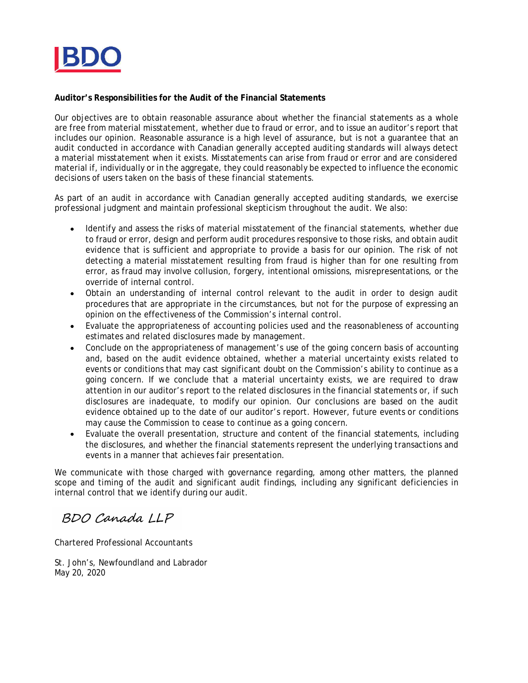

**Auditor's Responsibilities for the Audit of the Financial Statements**

Our objectives are to obtain reasonable assurance about whether the financial statements as a whole are free from material misstatement, whether due to fraud or error, and to issue an auditor's report that includes our opinion. Reasonable assurance is a high level of assurance, but is not a guarantee that an audit conducted in accordance with Canadian generally accepted auditing standards will always detect a material misstatement when it exists. Misstatements can arise from fraud or error and are considered material if, individually or in the aggregate, they could reasonably be expected to influence the economic decisions of users taken on the basis of these financial statements.

As part of an audit in accordance with Canadian generally accepted auditing standards, we exercise professional judgment and maintain professional skepticism throughout the audit. We also:

- Identify and assess the risks of material misstatement of the financial statements, whether due to fraud or error, design and perform audit procedures responsive to those risks, and obtain audit evidence that is sufficient and appropriate to provide a basis for our opinion. The risk of not detecting a material misstatement resulting from fraud is higher than for one resulting from error, as fraud may involve collusion, forgery, intentional omissions, misrepresentations, or the override of internal control.
- Obtain an understanding of internal control relevant to the audit in order to design audit procedures that are appropriate in the circumstances, but not for the purpose of expressing an opinion on the effectiveness of the Commission's internal control.
- Evaluate the appropriateness of accounting policies used and the reasonableness of accounting  $\bullet$ estimates and related disclosures made by management.
- Conclude on the appropriateness of management's use of the going concern basis of accounting and, based on the audit evidence obtained, whether a material uncertainty exists related to events or conditions that may cast significant doubt on the Commission's ability to continue as a going concern. If we conclude that a material uncertainty exists, we are required to draw attention in our auditor's report to the related disclosures in the financial statements or, if such disclosures are inadequate, to modify our opinion. Our conclusions are based on the audit evidence obtained up to the date of our auditor's report. However, future events or conditions may cause the Commission to cease to continue as a going concern.
- Evaluate the overall presentation, structure and content of the financial statements, including  $\bullet$ the disclosures, and whether the financial statements represent the underlying transactions and events in a manner that achieves fair presentation.

We communicate with those charged with governance regarding, among other matters, the planned scope and timing of the audit and significant audit findings, including any significant deficiencies in internal control that we identify during our audit.

# BDO Canada LLP

Chartered Professional Accountants

St. John's, Newfoundland and Labrador May 20, 2020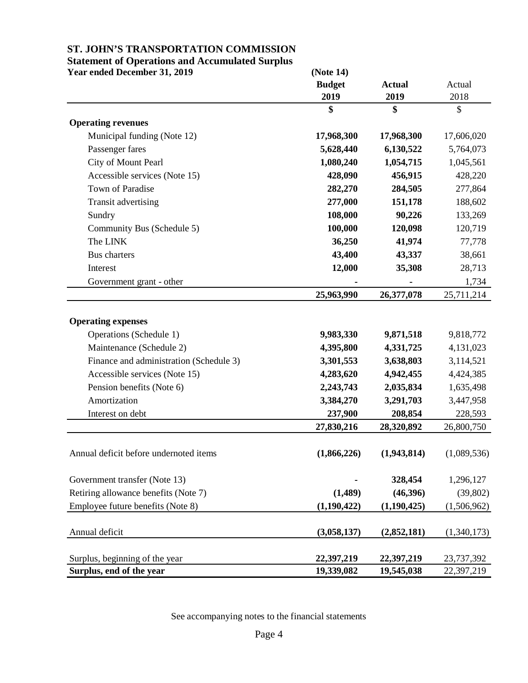### **Statement of Operations and Accumulated Surplus**

| Year ended December 31, 2019                         | (Note 14)     |               |             |
|------------------------------------------------------|---------------|---------------|-------------|
|                                                      | <b>Budget</b> | <b>Actual</b> | Actual      |
|                                                      | 2019          | 2019          | 2018        |
|                                                      | \$            | \$            | \$          |
| <b>Operating revenues</b>                            |               |               |             |
| Municipal funding (Note 12)                          | 17,968,300    | 17,968,300    | 17,606,020  |
| Passenger fares                                      | 5,628,440     | 6,130,522     | 5,764,073   |
| City of Mount Pearl                                  | 1,080,240     | 1,054,715     | 1,045,561   |
| Accessible services (Note 15)                        | 428,090       | 456,915       | 428,220     |
| Town of Paradise                                     | 282,270       | 284,505       | 277,864     |
| Transit advertising                                  | 277,000       | 151,178       | 188,602     |
| Sundry                                               | 108,000       | 90,226        | 133,269     |
| Community Bus (Schedule 5)                           | 100,000       | 120,098       | 120,719     |
| The LINK                                             | 36,250        | 41,974        | 77,778      |
| <b>Bus</b> charters                                  | 43,400        | 43,337        | 38,661      |
| Interest                                             | 12,000        | 35,308        | 28,713      |
| Government grant - other                             |               |               | 1,734       |
|                                                      | 25,963,990    | 26,377,078    | 25,711,214  |
| <b>Operating expenses</b><br>Operations (Schedule 1) | 9,983,330     | 9,871,518     | 9,818,772   |
| Maintenance (Schedule 2)                             | 4,395,800     | 4,331,725     | 4,131,023   |
| Finance and administration (Schedule 3)              | 3,301,553     | 3,638,803     | 3,114,521   |
| Accessible services (Note 15)                        | 4,283,620     | 4,942,455     | 4,424,385   |
| Pension benefits (Note 6)                            | 2,243,743     | 2,035,834     | 1,635,498   |
| Amortization                                         | 3,384,270     | 3,291,703     | 3,447,958   |
| Interest on debt                                     | 237,900       | 208,854       | 228,593     |
|                                                      | 27,830,216    | 28,320,892    | 26,800,750  |
|                                                      |               |               |             |
| Annual deficit before undernoted items               | (1,866,226)   | (1,943,814)   | (1,089,536) |
| Government transfer (Note 13)                        |               | 328,454       | 1,296,127   |
| Retiring allowance benefits (Note 7)                 | (1,489)       | (46,396)      | (39, 802)   |
| Employee future benefits (Note 8)                    | (1,190,422)   | (1,190,425)   | (1,506,962) |
|                                                      |               |               |             |
| Annual deficit                                       | (3,058,137)   | (2,852,181)   | (1,340,173) |
| Surplus, beginning of the year                       | 22,397,219    | 22,397,219    | 23,737,392  |
| Surplus, end of the year                             | 19,339,082    | 19,545,038    | 22,397,219  |

See accompanying notes to the financial statements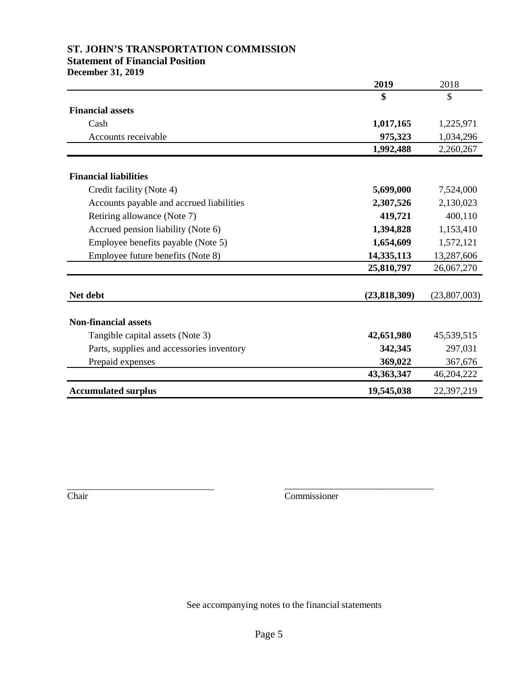### **Statement of Financial Position**

**December 31, 2019**

|                                           | 2019           | 2018         |
|-------------------------------------------|----------------|--------------|
|                                           | \$             | \$           |
| <b>Financial assets</b>                   |                |              |
| Cash                                      | 1,017,165      | 1,225,971    |
| Accounts receivable                       | 975,323        | 1,034,296    |
|                                           | 1,992,488      | 2,260,267    |
|                                           |                |              |
| <b>Financial liabilities</b>              |                |              |
| Credit facility (Note 4)                  | 5,699,000      | 7,524,000    |
| Accounts payable and accrued liabilities  | 2,307,526      | 2,130,023    |
| Retiring allowance (Note 7)               | 419,721        | 400,110      |
| Accrued pension liability (Note 6)        | 1,394,828      | 1,153,410    |
| Employee benefits payable (Note 5)        | 1,654,609      | 1,572,121    |
| Employee future benefits (Note 8)         | 14,335,113     | 13,287,606   |
|                                           | 25,810,797     | 26,067,270   |
|                                           |                |              |
| Net debt                                  | (23, 818, 309) | (23,807,003) |
|                                           |                |              |
| <b>Non-financial assets</b>               |                |              |
| Tangible capital assets (Note 3)          | 42,651,980     | 45,539,515   |
| Parts, supplies and accessories inventory | 342,345        | 297,031      |
| Prepaid expenses                          | 369,022        | 367,676      |
|                                           | 43,363,347     | 46,204,222   |
| <b>Accumulated surplus</b>                | 19,545,038     | 22,397,219   |

Chair Commissioner

\_\_\_\_\_\_\_\_\_\_\_\_\_\_\_\_\_\_\_\_\_\_\_\_\_\_\_\_\_\_\_\_

See accompanying notes to the financial statements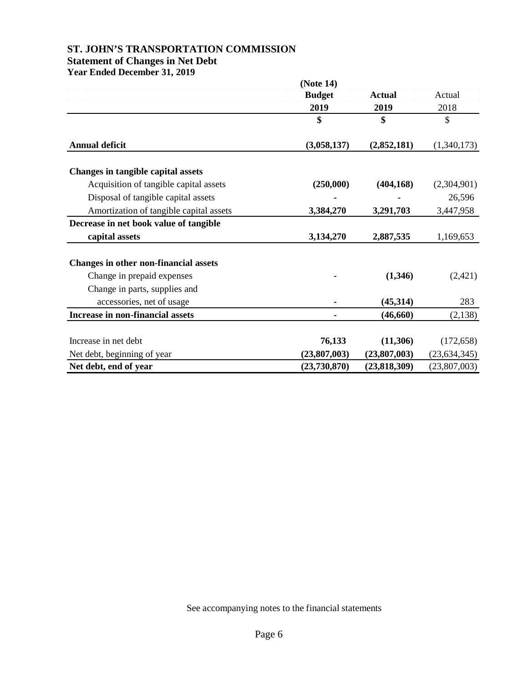## **ST. JOHN'S TRANSPORTATION COMMISSION Statement of Changes in Net Debt**

**Year Ended December 31, 2019**

|                                         | (Note 14)     |                |                |
|-----------------------------------------|---------------|----------------|----------------|
|                                         | <b>Budget</b> | <b>Actual</b>  | Actual         |
|                                         | 2019          | 2019           | 2018           |
|                                         | \$            | \$             | \$             |
| <b>Annual deficit</b>                   | (3,058,137)   | (2,852,181)    | (1,340,173)    |
| Changes in tangible capital assets      |               |                |                |
| Acquisition of tangible capital assets  | (250,000)     | (404, 168)     | (2,304,901)    |
| Disposal of tangible capital assets     |               |                | 26,596         |
| Amortization of tangible capital assets | 3,384,270     | 3,291,703      | 3,447,958      |
| Decrease in net book value of tangible  |               |                |                |
| capital assets                          | 3,134,270     | 2,887,535      | 1,169,653      |
| Changes in other non-financial assets   |               |                |                |
| Change in prepaid expenses              |               | (1,346)        | (2,421)        |
| Change in parts, supplies and           |               |                |                |
| accessories, net of usage               |               | (45,314)       | 283            |
| Increase in non-financial assets        |               | (46, 660)      | (2,138)        |
| Increase in net debt                    | 76,133        | (11,306)       | (172, 658)     |
| Net debt, beginning of year             | (23,807,003)  | (23,807,003)   | (23, 634, 345) |
| Net debt, end of year                   | (23,730,870)  | (23, 818, 309) | (23,807,003)   |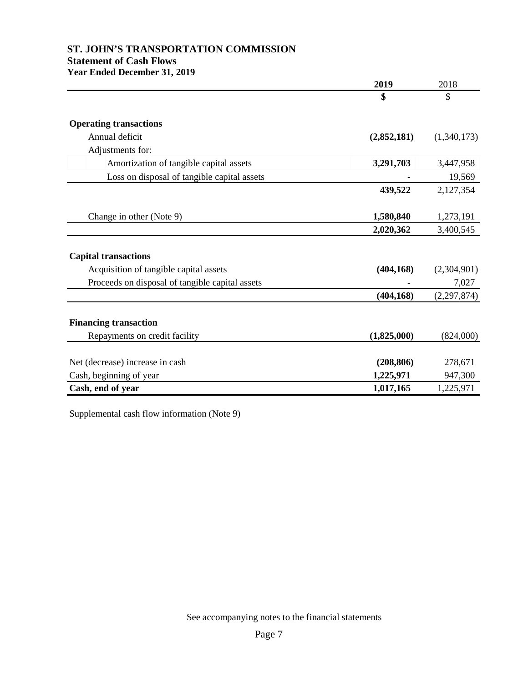### **Statement of Cash Flows Year Ended December 31, 2019**

|                                                 | 2019        | 2018          |
|-------------------------------------------------|-------------|---------------|
|                                                 | \$          | \$            |
| <b>Operating transactions</b>                   |             |               |
| Annual deficit                                  | (2,852,181) | (1,340,173)   |
| Adjustments for:                                |             |               |
| Amortization of tangible capital assets         | 3,291,703   | 3,447,958     |
| Loss on disposal of tangible capital assets     |             | 19,569        |
|                                                 | 439,522     | 2,127,354     |
| Change in other (Note 9)                        | 1,580,840   | 1,273,191     |
|                                                 | 2,020,362   | 3,400,545     |
| <b>Capital transactions</b>                     |             |               |
| Acquisition of tangible capital assets          | (404, 168)  | (2,304,901)   |
| Proceeds on disposal of tangible capital assets |             | 7,027         |
|                                                 | (404, 168)  | (2, 297, 874) |
| <b>Financing transaction</b>                    |             |               |
| Repayments on credit facility                   | (1,825,000) | (824,000)     |
| Net (decrease) increase in cash                 | (208, 806)  | 278,671       |
| Cash, beginning of year                         | 1,225,971   | 947,300       |
| Cash, end of year                               | 1,017,165   | 1,225,971     |

Supplemental cash flow information (Note 9)

See accompanying notes to the financial statements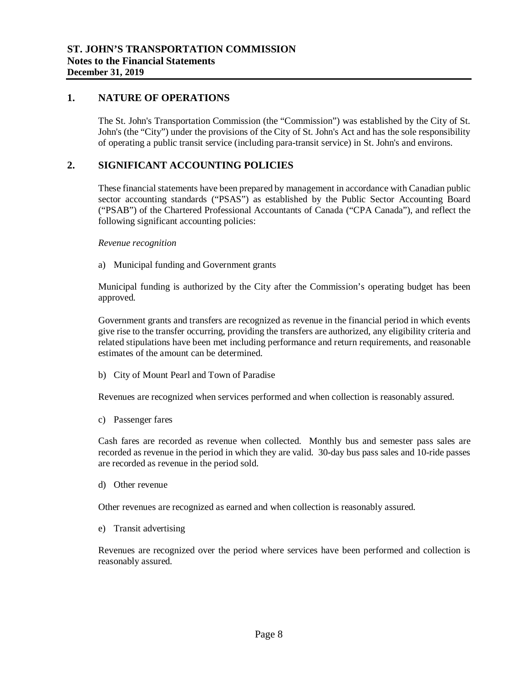#### **1. NATURE OF OPERATIONS**

The St. John's Transportation Commission (the "Commission") was established by the City of St. John's (the "City") under the provisions of the City of St. John's Act and has the sole responsibility of operating a public transit service (including para-transit service) in St. John's and environs.

### **2. SIGNIFICANT ACCOUNTING POLICIES**

These financial statements have been prepared by management in accordance with Canadian public sector accounting standards ("PSAS") as established by the Public Sector Accounting Board ("PSAB") of the Chartered Professional Accountants of Canada ("CPA Canada"), and reflect the following significant accounting policies:

#### *Revenue recognition*

a) Municipal funding and Government grants

Municipal funding is authorized by the City after the Commission's operating budget has been approved.

Government grants and transfers are recognized as revenue in the financial period in which events give rise to the transfer occurring, providing the transfers are authorized, any eligibility criteria and related stipulations have been met including performance and return requirements, and reasonable estimates of the amount can be determined.

b) City of Mount Pearl and Town of Paradise

Revenues are recognized when services performed and when collection is reasonably assured.

c) Passenger fares

Cash fares are recorded as revenue when collected. Monthly bus and semester pass sales are recorded as revenue in the period in which they are valid. 30-day bus pass sales and 10-ride passes are recorded as revenue in the period sold.

d) Other revenue

Other revenues are recognized as earned and when collection is reasonably assured.

e) Transit advertising

Revenues are recognized over the period where services have been performed and collection is reasonably assured.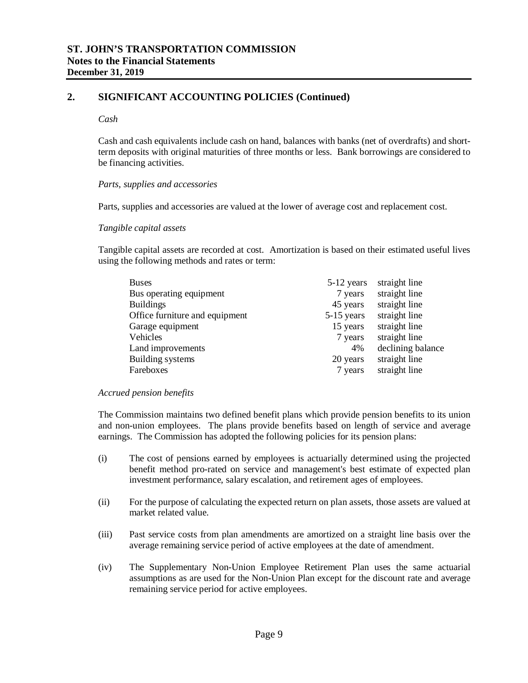### **2. SIGNIFICANT ACCOUNTING POLICIES (Continued)**

#### *Cash*

Cash and cash equivalents include cash on hand, balances with banks (net of overdrafts) and shortterm deposits with original maturities of three months or less. Bank borrowings are considered to be financing activities.

#### *Parts, supplies and accessories*

Parts, supplies and accessories are valued at the lower of average cost and replacement cost.

#### *Tangible capital assets*

Tangible capital assets are recorded at cost. Amortization is based on their estimated useful lives using the following methods and rates or term:

| <b>Buses</b>                   | 5-12 years   | straight line     |
|--------------------------------|--------------|-------------------|
| Bus operating equipment        | 7 years      | straight line     |
| <b>Buildings</b>               | 45 years     | straight line     |
| Office furniture and equipment | $5-15$ years | straight line     |
| Garage equipment               | 15 years     | straight line     |
| Vehicles                       | 7 years      | straight line     |
| Land improvements              | 4%           | declining balance |
| <b>Building systems</b>        | 20 years     | straight line     |
| Fareboxes                      | 7 years      | straight line     |

#### *Accrued pension benefits*

The Commission maintains two defined benefit plans which provide pension benefits to its union and non-union employees. The plans provide benefits based on length of service and average earnings. The Commission has adopted the following policies for its pension plans:

- (i) The cost of pensions earned by employees is actuarially determined using the projected benefit method pro-rated on service and management's best estimate of expected plan investment performance, salary escalation, and retirement ages of employees.
- (ii) For the purpose of calculating the expected return on plan assets, those assets are valued at market related value.
- (iii) Past service costs from plan amendments are amortized on a straight line basis over the average remaining service period of active employees at the date of amendment.
- (iv) The Supplementary Non-Union Employee Retirement Plan uses the same actuarial assumptions as are used for the Non-Union Plan except for the discount rate and average remaining service period for active employees.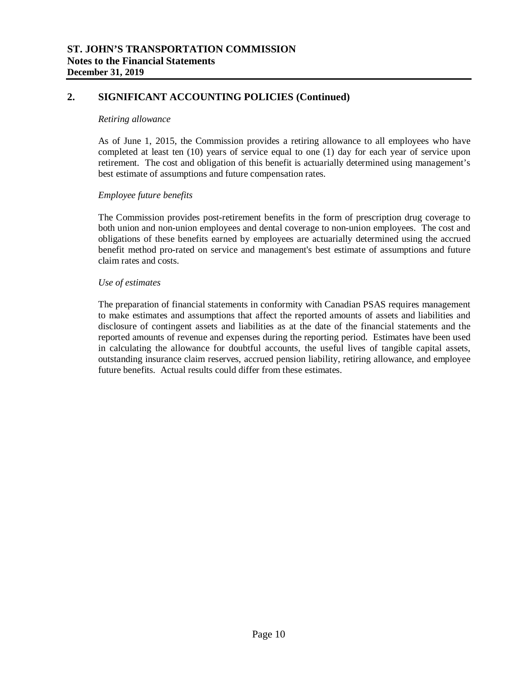### **2. SIGNIFICANT ACCOUNTING POLICIES (Continued)**

#### *Retiring allowance*

As of June 1, 2015, the Commission provides a retiring allowance to all employees who have completed at least ten (10) years of service equal to one (1) day for each year of service upon retirement. The cost and obligation of this benefit is actuarially determined using management's best estimate of assumptions and future compensation rates.

#### *Employee future benefits*

The Commission provides post-retirement benefits in the form of prescription drug coverage to both union and non-union employees and dental coverage to non-union employees. The cost and obligations of these benefits earned by employees are actuarially determined using the accrued benefit method pro-rated on service and management's best estimate of assumptions and future claim rates and costs.

#### *Use of estimates*

The preparation of financial statements in conformity with Canadian PSAS requires management to make estimates and assumptions that affect the reported amounts of assets and liabilities and disclosure of contingent assets and liabilities as at the date of the financial statements and the reported amounts of revenue and expenses during the reporting period. Estimates have been used in calculating the allowance for doubtful accounts, the useful lives of tangible capital assets, outstanding insurance claim reserves, accrued pension liability, retiring allowance, and employee future benefits. Actual results could differ from these estimates.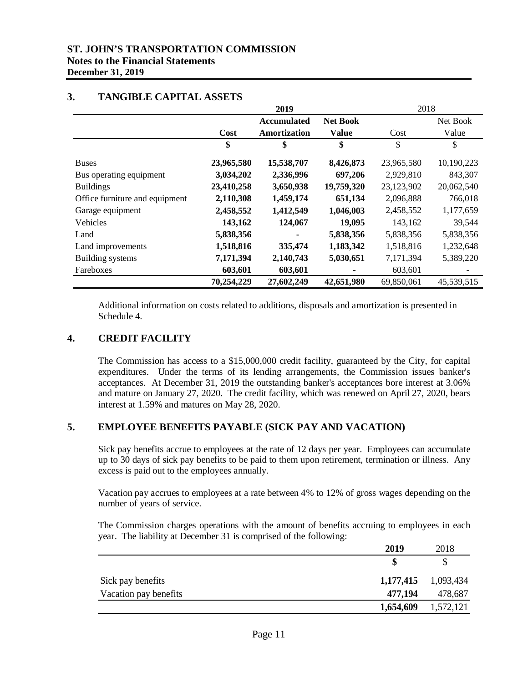### **ST. JOHN'S TRANSPORTATION COMMISSION Notes to the Financial Statements December 31, 2019**

|                                |            | 2019               |                 |            | 2018       |
|--------------------------------|------------|--------------------|-----------------|------------|------------|
|                                |            | <b>Accumulated</b> | <b>Net Book</b> |            | Net Book   |
|                                | Cost       | Amortization       | <b>Value</b>    | Cost       | Value      |
|                                | \$         | \$                 | \$              | \$         | \$         |
| <b>Buses</b>                   | 23,965,580 | 15,538,707         | 8,426,873       | 23,965,580 | 10,190,223 |
| Bus operating equipment        | 3,034,202  | 2,336,996          | 697,206         | 2,929,810  | 843,307    |
| <b>Buildings</b>               | 23,410,258 | 3,650,938          | 19,759,320      | 23,123,902 | 20,062,540 |
| Office furniture and equipment | 2,110,308  | 1,459,174          | 651,134         | 2,096,888  | 766,018    |
| Garage equipment               | 2,458,552  | 1,412,549          | 1,046,003       | 2,458,552  | 1,177,659  |
| Vehicles                       | 143,162    | 124,067            | 19,095          | 143,162    | 39,544     |
| Land                           | 5,838,356  |                    | 5,838,356       | 5,838,356  | 5,838,356  |
| Land improvements              | 1,518,816  | 335,474            | 1,183,342       | 1,518,816  | 1,232,648  |
| Building systems               | 7,171,394  | 2,140,743          | 5,030,651       | 7,171,394  | 5,389,220  |
| Fareboxes                      | 603,601    | 603,601            |                 | 603,601    |            |
|                                | 70,254,229 | 27,602,249         | 42,651,980      | 69,850,061 | 45,539,515 |

**2019**

 $2010$ 

### **3. TANGIBLE CAPITAL ASSETS**

Additional information on costs related to additions, disposals and amortization is presented in Schedule 4.

### **4. CREDIT FACILITY**

The Commission has access to a \$15,000,000 credit facility, guaranteed by the City, for capital expenditures. Under the terms of its lending arrangements, the Commission issues banker's acceptances. At December 31, 2019 the outstanding banker's acceptances bore interest at 3.06% and mature on January 27, 2020. The credit facility, which was renewed on April 27, 2020, bears interest at 1.59% and matures on May 28, 2020.

### **5. EMPLOYEE BENEFITS PAYABLE (SICK PAY AND VACATION)**

Sick pay benefits accrue to employees at the rate of 12 days per year. Employees can accumulate up to 30 days of sick pay benefits to be paid to them upon retirement, termination or illness. Any excess is paid out to the employees annually.

Vacation pay accrues to employees at a rate between 4% to 12% of gross wages depending on the number of years of service.

The Commission charges operations with the amount of benefits accruing to employees in each year. The liability at December 31 is comprised of the following:

|                       | 2019      | 2018                |
|-----------------------|-----------|---------------------|
|                       |           |                     |
| Sick pay benefits     |           | 1,177,415 1,093,434 |
| Vacation pay benefits | 477,194   | 478,687             |
|                       | 1,654,609 | 1,572,121           |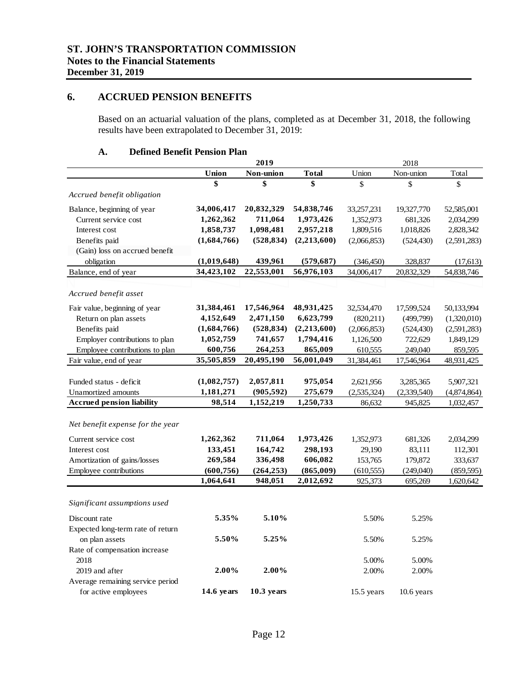#### **6. ACCRUED PENSION BENEFITS**

Based on an actuarial valuation of the plans, completed as at December 31, 2018, the following results have been extrapolated to December 31, 2019:

#### **A. Defined Benefit Pension Plan**

|                                   |              | 2019         |              |             | 2018         |             |
|-----------------------------------|--------------|--------------|--------------|-------------|--------------|-------------|
|                                   | Union        | Non-union    | <b>Total</b> | Union       | Non-union    | Total       |
|                                   | \$           | \$           | \$           | \$          | \$           | \$          |
| Accrued benefit obligation        |              |              |              |             |              |             |
| Balance, beginning of year        | 34,006,417   | 20,832,329   | 54,838,746   | 33,257,231  | 19,327,770   | 52,585,001  |
| Current service cost              | 1,262,362    | 711,064      | 1,973,426    | 1,352,973   | 681,326      | 2,034,299   |
| Interest cost                     | 1,858,737    | 1,098,481    | 2,957,218    | 1,809,516   | 1,018,826    | 2,828,342   |
| Benefits paid                     | (1,684,766)  | (528, 834)   | (2,213,600)  | (2,066,853) | (524, 430)   | (2,591,283) |
| (Gain) loss on accrued benefit    |              |              |              |             |              |             |
| obligation                        | (1,019,648)  | 439,961      | (579, 687)   | (346, 450)  | 328,837      | (17, 613)   |
| Balance, end of year              | 34,423,102   | 22,553,001   | 56,976,103   | 34,006,417  | 20,832,329   | 54,838,746  |
|                                   |              |              |              |             |              |             |
| Accrued benefit asset             |              |              |              |             |              |             |
| Fair value, beginning of year     | 31,384,461   | 17,546,964   | 48,931,425   | 32,534,470  | 17,599,524   | 50,133,994  |
| Return on plan assets             | 4,152,649    | 2,471,150    | 6,623,799    | (820,211)   | (499,799)    | (1,320,010) |
| Benefits paid                     | (1,684,766)  | (528, 834)   | (2,213,600)  | (2,066,853) | (524, 430)   | (2,591,283) |
| Employer contributions to plan    | 1,052,759    | 741,657      | 1,794,416    | 1,126,500   | 722,629      | 1,849,129   |
| Employee contributions to plan    | 600,756      | 264,253      | 865,009      | 610,555     | 249,040      | 859,595     |
| Fair value, end of year           | 35,505,859   | 20,495,190   | 56,001,049   | 31,384,461  | 17,546,964   | 48,931,425  |
|                                   |              |              |              |             |              |             |
| Funded status - deficit           | (1,082,757)  | 2,057,811    | 975,054      | 2,621,956   | 3,285,365    | 5,907,321   |
| Unamortized amounts               | 1,181,271    | (905, 592)   | 275,679      | (2,535,324) | (2,339,540)  | (4,874,864) |
| <b>Accrued pension liability</b>  | 98,514       | 1,152,219    | 1,250,733    | 86,632      | 945,825      | 1,032,457   |
|                                   |              |              |              |             |              |             |
| Net benefit expense for the year  |              |              |              |             |              |             |
| Current service cost              | 1,262,362    | 711,064      | 1,973,426    | 1,352,973   | 681,326      | 2,034,299   |
| Interest cost                     | 133,451      | 164,742      | 298,193      | 29,190      | 83,111       | 112,301     |
| Amortization of gains/losses      | 269,584      | 336,498      | 606,082      | 153,765     | 179,872      | 333,637     |
| Employee contributions            | (600, 756)   | (264, 253)   | (865,009)    | (610, 555)  | (249,040)    | (859, 595)  |
|                                   | 1,064,641    | 948,051      | 2,012,692    | 925,373     | 695,269      | 1,620,642   |
|                                   |              |              |              |             |              |             |
| Significant assumptions used      |              |              |              |             |              |             |
| Discount rate                     | 5.35%        | 5.10%        |              | 5.50%       | 5.25%        |             |
| Expected long-term rate of return |              |              |              |             |              |             |
| on plan assets                    | 5.50%        | 5.25%        |              | 5.50%       | 5.25%        |             |
| Rate of compensation increase     |              |              |              |             |              |             |
| 2018                              |              |              |              | 5.00%       | 5.00%        |             |
| 2019 and after                    | 2.00%        | 2.00%        |              | 2.00%       | 2.00%        |             |
| Average remaining service period  |              |              |              |             |              |             |
| for active employees              | $14.6$ years | $10.3$ years |              | 15.5 years  | $10.6$ years |             |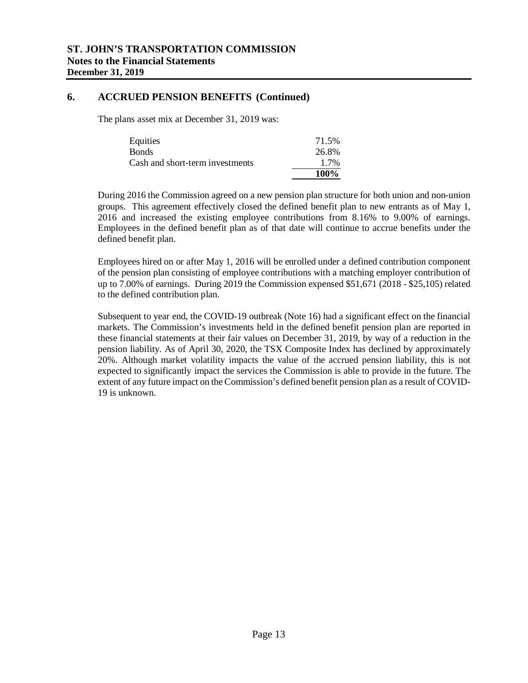#### **6. ACCRUED PENSION BENEFITS (Continued)**

The plans asset mix at December 31, 2019 was:

| Equities                        | 71.5%       |
|---------------------------------|-------------|
| <b>Bonds</b>                    | 26.8%       |
| Cash and short-term investments | 1.7%        |
|                                 | <b>100%</b> |

During 2016 the Commission agreed on a new pension plan structure for both union and non-union groups. This agreement effectively closed the defined benefit plan to new entrants as of May 1, 2016 and increased the existing employee contributions from 8.16% to 9.00% of earnings. Employees in the defined benefit plan as of that date will continue to accrue benefits under the defined benefit plan.

Employees hired on or after May 1, 2016 will be enrolled under a defined contribution component of the pension plan consisting of employee contributions with a matching employer contribution of up to 7.00% of earnings. During 2019 the Commission expensed \$51,671 (2018 - \$25,105) related to the defined contribution plan.

Subsequent to year end, the COVID-19 outbreak (Note 16) had a significant effect on the financial markets. The Commission's investments held in the defined benefit pension plan are reported in these financial statements at their fair values on December 31, 2019, by way of a reduction in the pension liability. As of April 30, 2020, the TSX Composite Index has declined by approximately 20%. Although market volatility impacts the value of the accrued pension liability, this is not expected to significantly impact the services the Commission is able to provide in the future. The extent of any future impact on the Commission's defined benefit pension plan as a result of COVID-19 is unknown.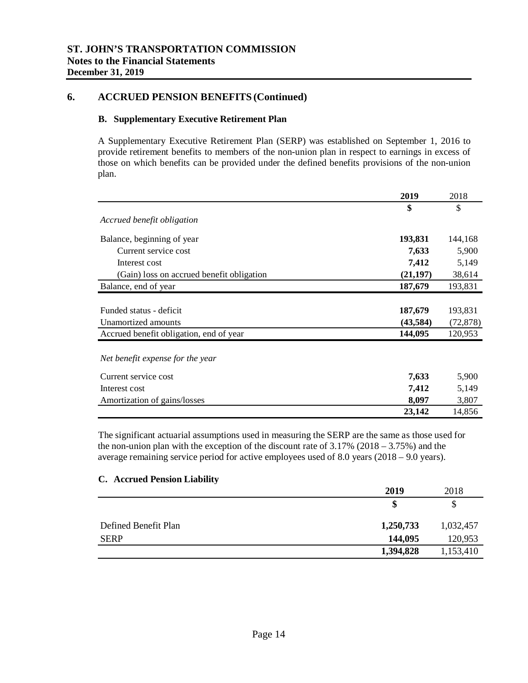### **6. ACCRUED PENSION BENEFITS (Continued)**

#### **B. Supplementary Executive Retirement Plan**

A Supplementary Executive Retirement Plan (SERP) was established on September 1, 2016 to provide retirement benefits to members of the non-union plan in respect to earnings in excess of those on which benefits can be provided under the defined benefits provisions of the non-union plan.

| 2019      | 2018      |
|-----------|-----------|
| \$        | \$        |
|           |           |
| 193,831   | 144,168   |
| 7,633     | 5,900     |
| 7,412     | 5,149     |
| (21, 197) | 38,614    |
| 187,679   | 193,831   |
|           |           |
| 187,679   | 193,831   |
| (43,584)  | (72, 878) |
| 144,095   | 120,953   |
|           |           |
| 7,633     | 5,900     |
| 7,412     | 5,149     |
| 8,097     | 3,807     |
| 23,142    | 14,856    |
|           |           |

The significant actuarial assumptions used in measuring the SERP are the same as those used for the non-union plan with the exception of the discount rate of  $3.17\%$  (2018 –  $3.75\%$ ) and the average remaining service period for active employees used of 8.0 years (2018 – 9.0 years).

#### **C. Accrued Pension Liability**

|                      | 2019      | 2018      |
|----------------------|-----------|-----------|
|                      | \$        |           |
| Defined Benefit Plan | 1,250,733 | 1,032,457 |
| <b>SERP</b>          | 144,095   | 120,953   |
|                      | 1,394,828 | 1,153,410 |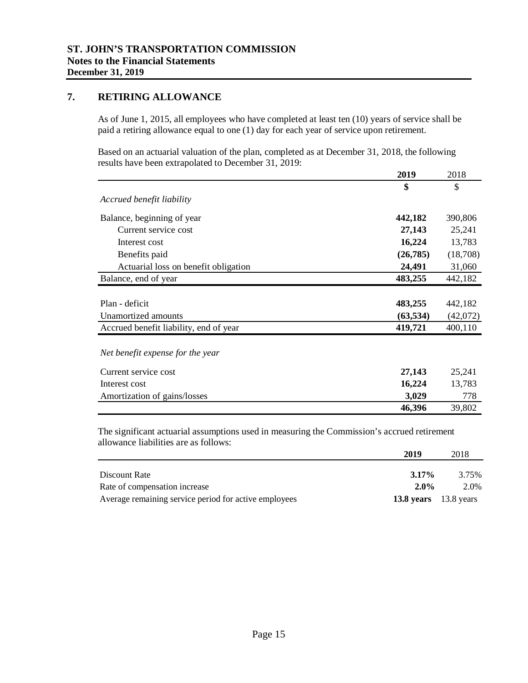### **7. RETIRING ALLOWANCE**

As of June 1, 2015, all employees who have completed at least ten (10) years of service shall be paid a retiring allowance equal to one (1) day for each year of service upon retirement.

Based on an actuarial valuation of the plan, completed as at December 31, 2018, the following results have been extrapolated to December 31, 2019:

|                                        | 2019      | 2018     |
|----------------------------------------|-----------|----------|
|                                        | \$        | \$       |
| Accrued benefit liability              |           |          |
| Balance, beginning of year             | 442,182   | 390,806  |
| Current service cost                   | 27,143    | 25,241   |
| Interest cost                          | 16,224    | 13,783   |
| Benefits paid                          | (26, 785) | (18,708) |
| Actuarial loss on benefit obligation   | 24,491    | 31,060   |
| Balance, end of year                   | 483,255   | 442,182  |
|                                        |           |          |
| Plan - deficit                         | 483,255   | 442,182  |
| Unamortized amounts                    | (63, 534) | (42,072) |
| Accrued benefit liability, end of year | 419,721   | 400,110  |
| Net benefit expense for the year       |           |          |
| Current service cost                   | 27,143    | 25,241   |

| Interest cost                | 16.224 | 13.783 |
|------------------------------|--------|--------|
| Amortization of gains/losses | 3.029  | 778    |
|                              | 46,396 | 39,802 |

The significant actuarial assumptions used in measuring the Commission's accrued retirement allowance liabilities are as follows:

|                                                       | 2019                    | 2018  |
|-------------------------------------------------------|-------------------------|-------|
|                                                       |                         |       |
| Discount Rate                                         | $3.17\%$                | 3.75% |
| Rate of compensation increase                         | $2.0\%$                 | 2.0%  |
| Average remaining service period for active employees | 13.8 years $13.8$ years |       |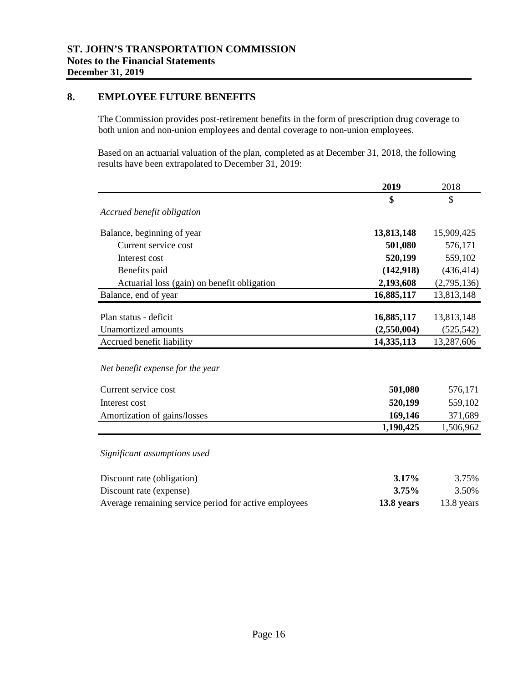### **8. EMPLOYEE FUTURE BENEFITS**

The Commission provides post-retirement benefits in the form of prescription drug coverage to both union and non-union employees and dental coverage to non-union employees.

Based on an actuarial valuation of the plan, completed as at December 31, 2018, the following results have been extrapolated to December 31, 2019:

|                                                       | 2019        | 2018        |
|-------------------------------------------------------|-------------|-------------|
|                                                       | \$          | \$          |
| Accrued benefit obligation                            |             |             |
| Balance, beginning of year                            | 13,813,148  | 15,909,425  |
| Current service cost                                  | 501,080     | 576,171     |
| Interest cost                                         | 520,199     | 559,102     |
| Benefits paid                                         | (142, 918)  | (436, 414)  |
| Actuarial loss (gain) on benefit obligation           | 2,193,608   | (2,795,136) |
| Balance, end of year                                  | 16,885,117  | 13,813,148  |
|                                                       |             |             |
| Plan status - deficit                                 | 16,885,117  | 13,813,148  |
| <b>Unamortized</b> amounts                            | (2,550,004) | (525, 542)  |
| Accrued benefit liability                             | 14,335,113  | 13,287,606  |
| Net benefit expense for the year                      |             |             |
| Current service cost                                  | 501,080     | 576,171     |
| Interest cost                                         | 520,199     | 559,102     |
| Amortization of gains/losses                          | 169,146     | 371,689     |
|                                                       | 1,190,425   | 1,506,962   |
| Significant assumptions used                          |             |             |
| Discount rate (obligation)                            | 3.17%       | 3.75%       |
| Discount rate (expense)                               | 3.75%       | 3.50%       |
| Average remaining service period for active employees | 13.8 years  | 13.8 years  |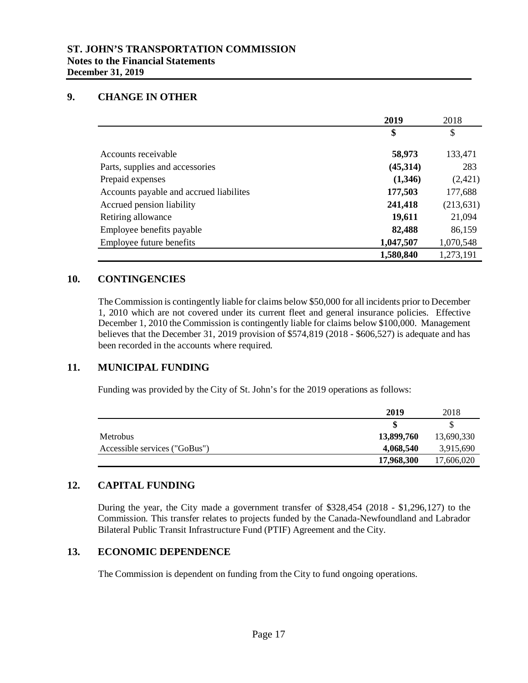### **9. CHANGE IN OTHER**

|                                          | 2019      | 2018       |
|------------------------------------------|-----------|------------|
|                                          | \$        | \$         |
| Accounts receivable                      | 58,973    | 133,471    |
| Parts, supplies and accessories          | (45,314)  | 283        |
| Prepaid expenses                         | (1,346)   | (2,421)    |
| Accounts payable and accrued liabilities | 177,503   | 177,688    |
| Accrued pension liability                | 241,418   | (213, 631) |
| Retiring allowance                       | 19,611    | 21,094     |
| Employee benefits payable                | 82,488    | 86,159     |
| Employee future benefits                 | 1,047,507 | 1,070,548  |
|                                          | 1,580,840 | 1,273,191  |

#### **10. CONTINGENCIES**

The Commission is contingently liable for claims below \$50,000 for all incidents prior to December 1, 2010 which are not covered under its current fleet and general insurance policies. Effective December 1, 2010 the Commission is contingently liable for claims below \$100,000. Management believes that the December 31, 2019 provision of \$574,819 (2018 - \$606,527) is adequate and has been recorded in the accounts where required.

#### **11. MUNICIPAL FUNDING**

Funding was provided by the City of St. John's for the 2019 operations as follows:

|                               | 2019       | 2018       |
|-------------------------------|------------|------------|
|                               |            |            |
| <b>Metrobus</b>               | 13,899,760 | 13,690,330 |
| Accessible services ("GoBus") | 4,068,540  | 3,915,690  |
|                               | 17,968,300 | 17,606,020 |

#### **12. CAPITAL FUNDING**

During the year, the City made a government transfer of \$328,454 (2018 - \$1,296,127) to the Commission. This transfer relates to projects funded by the Canada-Newfoundland and Labrador Bilateral Public Transit Infrastructure Fund (PTIF) Agreement and the City.

#### **13. ECONOMIC DEPENDENCE**

The Commission is dependent on funding from the City to fund ongoing operations.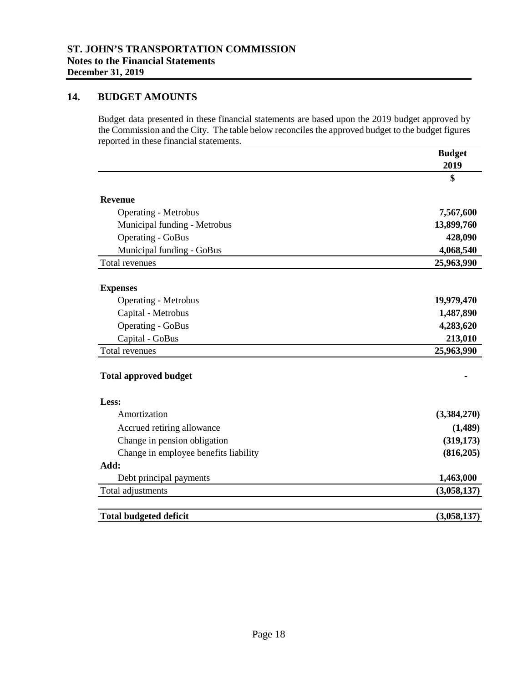### **14. BUDGET AMOUNTS**

Budget data presented in these financial statements are based upon the 2019 budget approved by the Commission and the City. The table below reconciles the approved budget to the budget figures reported in these financial statements.

|                                       | <b>Budget</b> |
|---------------------------------------|---------------|
|                                       | 2019          |
|                                       | \$            |
| <b>Revenue</b>                        |               |
| <b>Operating - Metrobus</b>           | 7,567,600     |
| Municipal funding - Metrobus          | 13,899,760    |
| <b>Operating - GoBus</b>              | 428,090       |
| Municipal funding - GoBus             | 4,068,540     |
| Total revenues                        | 25,963,990    |
| <b>Expenses</b>                       |               |
| <b>Operating - Metrobus</b>           | 19,979,470    |
| Capital - Metrobus                    | 1,487,890     |
| <b>Operating - GoBus</b>              | 4,283,620     |
| Capital - GoBus                       | 213,010       |
| Total revenues                        | 25,963,990    |
| <b>Total approved budget</b>          |               |
| Less:                                 |               |
| Amortization                          | (3,384,270)   |
| Accrued retiring allowance            | (1,489)       |
| Change in pension obligation          | (319, 173)    |
| Change in employee benefits liability | (816,205)     |
| Add:                                  |               |
| Debt principal payments               | 1,463,000     |
| Total adjustments                     | (3,058,137)   |
| <b>Total budgeted deficit</b>         | (3,058,137)   |
|                                       |               |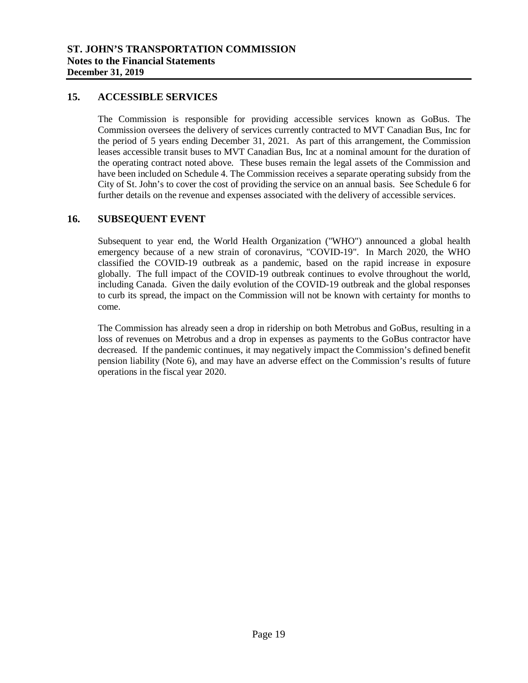#### **15. ACCESSIBLE SERVICES**

The Commission is responsible for providing accessible services known as GoBus. The Commission oversees the delivery of services currently contracted to MVT Canadian Bus, Inc for the period of 5 years ending December 31, 2021. As part of this arrangement, the Commission leases accessible transit buses to MVT Canadian Bus, Inc at a nominal amount for the duration of the operating contract noted above. These buses remain the legal assets of the Commission and have been included on Schedule 4. The Commission receives a separate operating subsidy from the City of St. John's to cover the cost of providing the service on an annual basis. See Schedule 6 for further details on the revenue and expenses associated with the delivery of accessible services.

#### **16. SUBSEQUENT EVENT**

Subsequent to year end, the World Health Organization ("WHO") announced a global health emergency because of a new strain of coronavirus, "COVID-19". In March 2020, the WHO classified the COVID-19 outbreak as a pandemic, based on the rapid increase in exposure globally. The full impact of the COVID-19 outbreak continues to evolve throughout the world, including Canada. Given the daily evolution of the COVID-19 outbreak and the global responses to curb its spread, the impact on the Commission will not be known with certainty for months to come.

The Commission has already seen a drop in ridership on both Metrobus and GoBus, resulting in a loss of revenues on Metrobus and a drop in expenses as payments to the GoBus contractor have decreased. If the pandemic continues, it may negatively impact the Commission's defined benefit pension liability (Note 6), and may have an adverse effect on the Commission's results of future operations in the fiscal year 2020.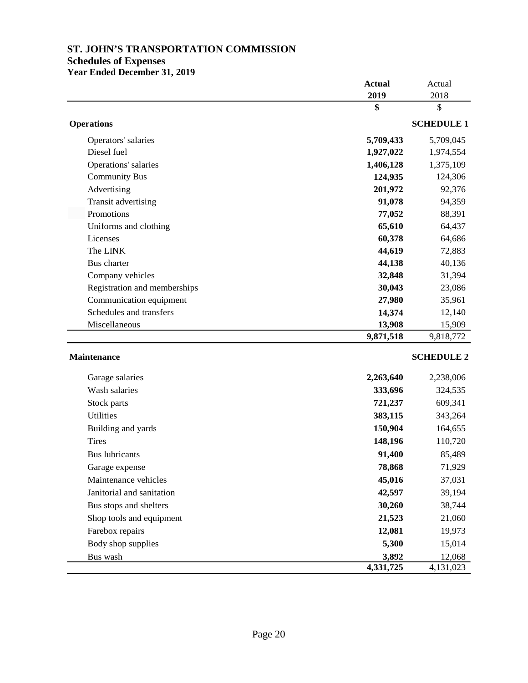#### **Schedules of Expenses**

**Year Ended December 31, 2019**

|                              | <b>Actual</b><br>2019 | Actual<br>2018    |
|------------------------------|-----------------------|-------------------|
|                              | \$                    | \$                |
| <b>Operations</b>            |                       | <b>SCHEDULE 1</b> |
| Operators' salaries          | 5,709,433             | 5,709,045         |
| Diesel fuel                  | 1,927,022             | 1,974,554         |
| Operations' salaries         | 1,406,128             | 1,375,109         |
| <b>Community Bus</b>         | 124,935               | 124,306           |
| Advertising                  | 201,972               | 92,376            |
| Transit advertising          | 91,078                | 94,359            |
| Promotions                   | 77,052                | 88,391            |
| Uniforms and clothing        | 65,610                | 64,437            |
| Licenses                     | 60,378                | 64,686            |
| The LINK                     | 44,619                | 72,883            |
| Bus charter                  | 44,138                | 40,136            |
| Company vehicles             | 32,848                | 31,394            |
| Registration and memberships | 30,043                | 23,086            |
| Communication equipment      | 27,980                | 35,961            |
| Schedules and transfers      | 14,374                | 12,140            |
| Miscellaneous                | 13,908                | 15,909            |
|                              | 9,871,518             | 9,818,772         |
| <b>Maintenance</b>           |                       | <b>SCHEDULE 2</b> |
| Garage salaries              | 2,263,640             | 2,238,006         |
| Wash salaries                | 333,696               | 324.535           |

| Wash salaries             | 333,696   | 324,535   |
|---------------------------|-----------|-----------|
| Stock parts               | 721,237   | 609,341   |
| Utilities                 | 383,115   | 343,264   |
| Building and yards        | 150,904   | 164,655   |
| <b>Tires</b>              | 148,196   | 110,720   |
| <b>Bus</b> lubricants     | 91,400    | 85,489    |
| Garage expense            | 78,868    | 71,929    |
| Maintenance vehicles      | 45,016    | 37,031    |
| Janitorial and sanitation | 42,597    | 39,194    |
| Bus stops and shelters    | 30,260    | 38,744    |
| Shop tools and equipment  | 21,523    | 21,060    |
| Farebox repairs           | 12,081    | 19,973    |
| Body shop supplies        | 5,300     | 15,014    |
| Bus wash                  | 3,892     | 12,068    |
|                           | 4,331,725 | 4,131,023 |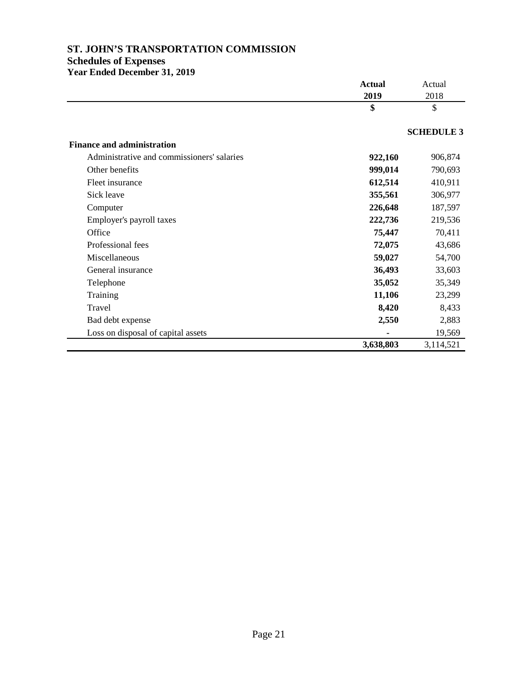#### **Schedules of Expenses**

**Year Ended December 31, 2019**

|                                            | <b>Actual</b> | Actual            |
|--------------------------------------------|---------------|-------------------|
|                                            | 2019          | 2018              |
|                                            | \$            | \$                |
|                                            |               | <b>SCHEDULE 3</b> |
| <b>Finance and administration</b>          |               |                   |
| Administrative and commissioners' salaries | 922,160       | 906,874           |
| Other benefits                             | 999,014       | 790,693           |
| Fleet insurance                            | 612,514       | 410,911           |
| Sick leave                                 | 355,561       | 306,977           |
| Computer                                   | 226,648       | 187,597           |
| Employer's payroll taxes                   | 222,736       | 219,536           |
| Office                                     | 75,447        | 70,411            |
| Professional fees                          | 72,075        | 43,686            |
| Miscellaneous                              | 59,027        | 54,700            |
| General insurance                          | 36,493        | 33,603            |
| Telephone                                  | 35,052        | 35,349            |
| Training                                   | 11,106        | 23,299            |
| Travel                                     | 8,420         | 8,433             |
| Bad debt expense                           | 2,550         | 2,883             |
| Loss on disposal of capital assets         |               | 19,569            |
|                                            | 3,638,803     | 3,114,521         |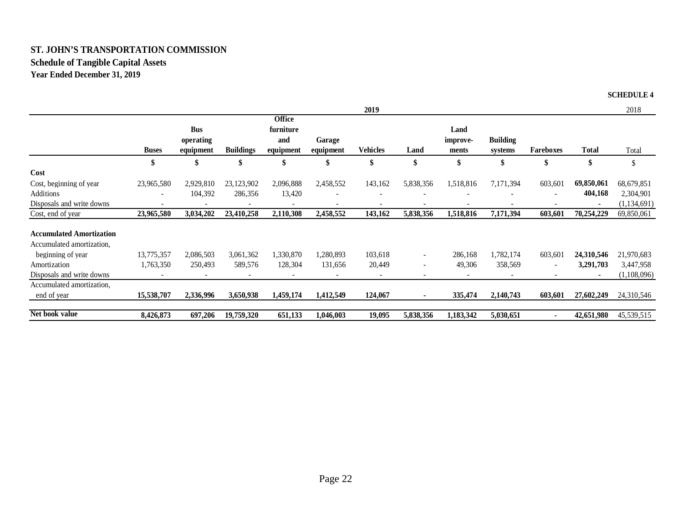# **ST. JOHN'S TRANSPORTATION COMMISSIONSchedule of Tangible Capital Assets**

**Year Ended December 31, 2019**

**SCHEDULE 4**

|                                 |                          |                          |                  |                            |                          | 2019                     |                          |                          |                            |                          |                | 2018          |
|---------------------------------|--------------------------|--------------------------|------------------|----------------------------|--------------------------|--------------------------|--------------------------|--------------------------|----------------------------|--------------------------|----------------|---------------|
|                                 |                          | <b>Bus</b>               |                  | <b>Office</b><br>furniture |                          |                          |                          | Land                     |                            |                          |                |               |
|                                 | <b>Buses</b>             | operating<br>equipment   | <b>Buildings</b> | and<br>equipment           | Garage<br>equipment      | Vehicles                 | Land                     | improve-<br>ments        | <b>Building</b><br>systems | Fareboxes                | <b>Total</b>   | Total         |
|                                 | \$                       | \$                       | \$               | \$                         | \$                       | \$                       | \$                       | \$                       | \$                         | \$                       | \$             | \$            |
| Cost                            |                          |                          |                  |                            |                          |                          |                          |                          |                            |                          |                |               |
| Cost, beginning of year         | 23,965,580               | 2,929,810                | 23,123,902       | 2,096,888                  | 2,458,552                | 143,162                  | 5,838,356                | 1,518,816                | 7,171,394                  | 603,601                  | 69,850,061     | 68,679,851    |
| <b>Additions</b>                |                          | 104,392                  | 286,356          | 13,420                     |                          |                          |                          | $\overline{\phantom{a}}$ |                            |                          | 404,168        | 2,304,901     |
| Disposals and write downs       | $\overline{\phantom{a}}$ | $\overline{\phantom{a}}$ |                  | $\overline{\phantom{a}}$   | $\overline{\phantom{a}}$ | $\overline{\phantom{a}}$ | $\overline{\phantom{a}}$ | $\overline{\phantom{0}}$ |                            |                          | $\blacksquare$ | (1, 134, 691) |
| Cost, end of year               | 23,965,580               | 3,034,202                | 23,410,258       | 2,110,308                  | 2,458,552                | 143,162                  | 5,838,356                | 1,518,816                | 7,171,394                  | 603,601                  | 70,254,229     | 69,850,061    |
| <b>Accumulated Amortization</b> |                          |                          |                  |                            |                          |                          |                          |                          |                            |                          |                |               |
| Accumulated amortization,       |                          |                          |                  |                            |                          |                          |                          |                          |                            |                          |                |               |
| beginning of year               | 13,775,357               | 2,086,503                | 3,061,362        | 1,330,870                  | 1,280,893                | 103,618                  | $\overline{\phantom{a}}$ | 286,168                  | 1,782,174                  | 603,601                  | 24,310,546     | 21,970,683    |
| Amortization                    | 1,763,350                | 250,493                  | 589,576          | 128,304                    | 131,656                  | 20,449                   | $\overline{\phantom{0}}$ | 49,306                   | 358,569                    | $\overline{\phantom{a}}$ | 3,291,703      | 3,447,958     |
| Disposals and write downs       |                          |                          |                  |                            |                          | $\overline{\phantom{a}}$ | $\overline{\phantom{a}}$ | $\overline{\phantom{a}}$ |                            |                          | $\blacksquare$ | (1,108,096)   |
| Accumulated amortization,       |                          |                          |                  |                            |                          |                          |                          |                          |                            |                          |                |               |
| end of year                     | 15,538,707               | 2,336,996                | 3,650,938        | 1,459,174                  | 1,412,549                | 124,067                  | $\blacksquare$           | 335,474                  | 2,140,743                  | 603,601                  | 27,602,249     | 24,310,546    |
| Net book value                  | 8,426,873                | 697,206                  | 19,759,320       | 651,133                    | 1,046,003                | 19,095                   | 5,838,356                | 1,183,342                | 5,030,651                  |                          | 42,651,980     | 45,539,515    |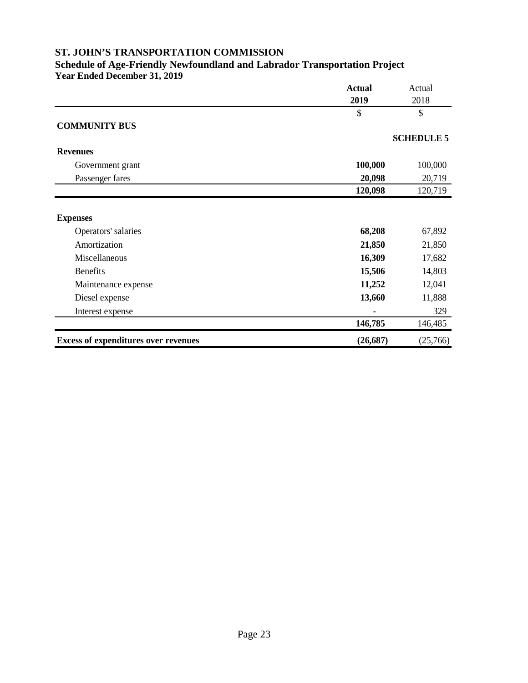#### **Schedule of Age-Friendly Newfoundland and Labrador Transportation Project Year Ended December 31, 2019**

|                                             | <b>Actual</b> | Actual            |  |
|---------------------------------------------|---------------|-------------------|--|
|                                             | 2019          | 2018              |  |
|                                             | \$            | \$                |  |
| <b>COMMUNITY BUS</b>                        |               |                   |  |
|                                             |               | <b>SCHEDULE 5</b> |  |
| <b>Revenues</b>                             |               |                   |  |
| Government grant                            | 100,000       | 100,000           |  |
| Passenger fares                             | 20,098        | 20,719            |  |
|                                             | 120,098       | 120,719           |  |
| <b>Expenses</b>                             |               |                   |  |
| Operators' salaries                         | 68,208        | 67,892            |  |
| Amortization                                | 21,850        | 21,850            |  |
| Miscellaneous                               | 16,309        | 17,682            |  |
| <b>Benefits</b>                             | 15,506        | 14,803            |  |
| Maintenance expense                         | 11,252        | 12,041            |  |
| Diesel expense                              | 13,660        | 11,888            |  |
| Interest expense                            |               | 329               |  |
|                                             | 146,785       | 146,485           |  |
| <b>Excess of expenditures over revenues</b> | (26, 687)     | (25,766)          |  |